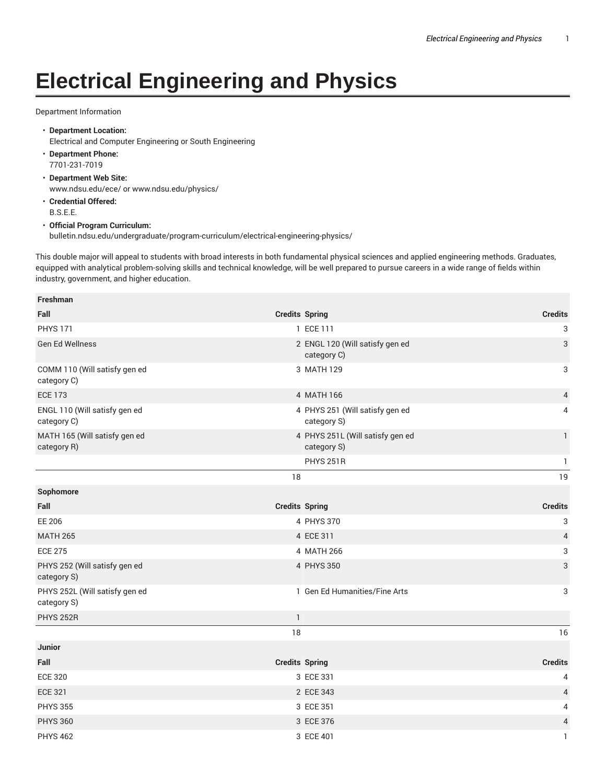## **Electrical Engineering and Physics**

## Department Information

- **Department Location:** Electrical and Computer Engineering or South Engineering
- **Department Phone:** 7701-231-7019
- **Department Web Site:** www.ndsu.edu/ece/ or www.ndsu.edu/physics/
- **Credential Offered:** B.S.E.E.

## • **Official Program Curriculum:**

bulletin.ndsu.edu/undergraduate/program-curriculum/electrical-engineering-physics/

This double major will appeal to students with broad interests in both fundamental physical sciences and applied engineering methods. Graduates, equipped with analytical problem-solving skills and technical knowledge, will be well prepared to pursue careers in a wide range of fields within industry, government, and higher education.

| Freshman                                      |              |                                                 |                |
|-----------------------------------------------|--------------|-------------------------------------------------|----------------|
| Fall                                          |              | <b>Credits Spring</b>                           | <b>Credits</b> |
| <b>PHYS 171</b>                               |              | 1 ECE 111                                       | 3              |
| Gen Ed Wellness                               |              | 2 ENGL 120 (Will satisfy gen ed<br>category C)  | 3              |
| COMM 110 (Will satisfy gen ed<br>category C)  |              | 3 MATH 129                                      | 3              |
| <b>ECE 173</b>                                |              | 4 MATH 166                                      | $\overline{4}$ |
| ENGL 110 (Will satisfy gen ed<br>category C)  |              | 4 PHYS 251 (Will satisfy gen ed<br>category S)  | 4              |
| MATH 165 (Will satisfy gen ed<br>category R)  |              | 4 PHYS 251L (Will satisfy gen ed<br>category S) | $\mathbf{1}$   |
|                                               |              | <b>PHYS 251R</b>                                | 1              |
|                                               | 18           |                                                 | 19             |
| Sophomore                                     |              |                                                 |                |
| Fall                                          |              | <b>Credits Spring</b>                           | <b>Credits</b> |
| <b>EE 206</b>                                 |              | 4 PHYS 370                                      | 3              |
| <b>MATH 265</b>                               |              | 4 ECE 311                                       | $\overline{4}$ |
| <b>ECE 275</b>                                |              | 4 MATH 266                                      | 3              |
| PHYS 252 (Will satisfy gen ed<br>category S)  |              | 4 PHYS 350                                      | 3              |
| PHYS 252L (Will satisfy gen ed<br>category S) |              | 1 Gen Ed Humanities/Fine Arts                   | 3              |
| <b>PHYS 252R</b>                              | $\mathbf{1}$ |                                                 |                |
|                                               | 18           |                                                 | 16             |
| <b>Junior</b>                                 |              |                                                 |                |
| Fall                                          |              | <b>Credits Spring</b>                           | <b>Credits</b> |
| <b>ECE 320</b>                                |              | 3 ECE 331                                       | $\overline{4}$ |
| <b>ECE 321</b>                                |              | 2 ECE 343                                       | $\overline{4}$ |
| <b>PHYS 355</b>                               |              | 3 ECE 351                                       | $\overline{4}$ |
| <b>PHYS 360</b>                               |              | 3 ECE 376                                       | $\overline{4}$ |
|                                               |              |                                                 |                |

PHYS 462 **3** ECE 401 **2008 3** ECE 401